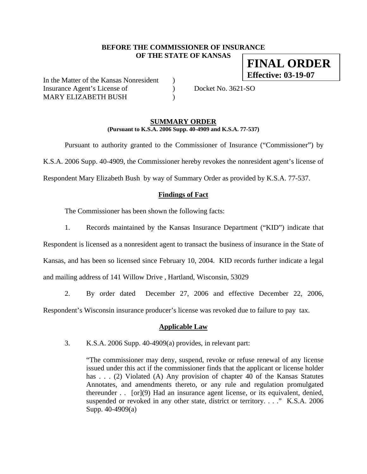### **BEFORE THE COMMISSIONER OF INSURANCE OF THE STATE OF KANSAS FINAL ORDER**

In the Matter of the Kansas Nonresident ) Insurance Agent's License of (a) Docket No. 3621-SO MARY ELIZABETH BUSH

**Effective: 03-19-07**

#### **SUMMARY ORDER (Pursuant to K.S.A. 2006 Supp. 40-4909 and K.S.A. 77-537)**

 Pursuant to authority granted to the Commissioner of Insurance ("Commissioner") by K.S.A. 2006 Supp. 40-4909, the Commissioner hereby revokes the nonresident agent's license of Respondent Mary Elizabeth Bush by way of Summary Order as provided by K.S.A. 77-537.

# **Findings of Fact**

The Commissioner has been shown the following facts:

1. Records maintained by the Kansas Insurance Department ("KID") indicate that

Respondent is licensed as a nonresident agent to transact the business of insurance in the State of Kansas, and has been so licensed since February 10, 2004. KID records further indicate a legal and mailing address of 141 Willow Drive , Hartland, Wisconsin, 53029

2. By order dated December 27, 2006 and effective December 22, 2006,

Respondent's Wisconsin insurance producer's license was revoked due to failure to pay tax.

## **Applicable Law**

3. K.S.A. 2006 Supp. 40-4909(a) provides, in relevant part:

"The commissioner may deny, suspend, revoke or refuse renewal of any license issued under this act if the commissioner finds that the applicant or license holder has . . . (2) Violated (A) Any provision of chapter 40 of the Kansas Statutes Annotates, and amendments thereto, or any rule and regulation promulgated thereunder . . [or](9) Had an insurance agent license, or its equivalent, denied, suspended or revoked in any other state, district or territory. . . ." K.S.A. 2006 Supp. 40-4909(a)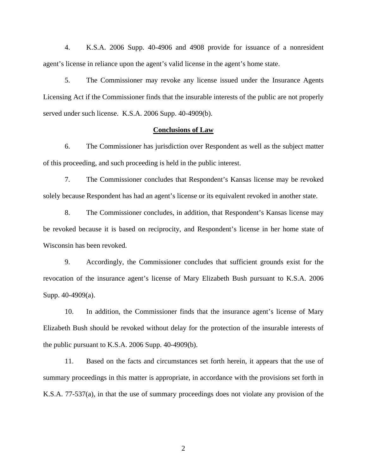4. K.S.A. 2006 Supp. 40-4906 and 4908 provide for issuance of a nonresident agent's license in reliance upon the agent's valid license in the agent's home state.

5. The Commissioner may revoke any license issued under the Insurance Agents Licensing Act if the Commissioner finds that the insurable interests of the public are not properly served under such license. K.S.A. 2006 Supp. 40-4909(b).

#### **Conclusions of Law**

6. The Commissioner has jurisdiction over Respondent as well as the subject matter of this proceeding, and such proceeding is held in the public interest.

7. The Commissioner concludes that Respondent's Kansas license may be revoked solely because Respondent has had an agent's license or its equivalent revoked in another state.

8. The Commissioner concludes, in addition, that Respondent's Kansas license may be revoked because it is based on reciprocity, and Respondent's license in her home state of Wisconsin has been revoked.

9. Accordingly, the Commissioner concludes that sufficient grounds exist for the revocation of the insurance agent's license of Mary Elizabeth Bush pursuant to K.S.A. 2006 Supp. 40-4909(a).

10. In addition, the Commissioner finds that the insurance agent's license of Mary Elizabeth Bush should be revoked without delay for the protection of the insurable interests of the public pursuant to K.S.A. 2006 Supp. 40-4909(b).

11. Based on the facts and circumstances set forth herein, it appears that the use of summary proceedings in this matter is appropriate, in accordance with the provisions set forth in K.S.A. 77-537(a), in that the use of summary proceedings does not violate any provision of the

2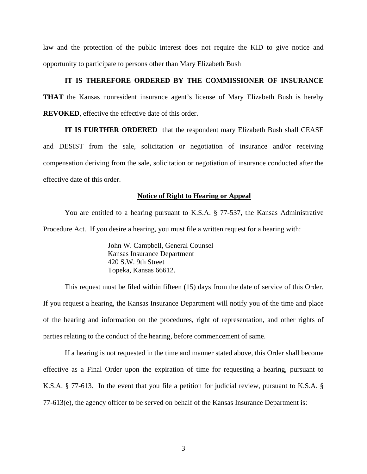law and the protection of the public interest does not require the KID to give notice and opportunity to participate to persons other than Mary Elizabeth Bush

#### **IT IS THEREFORE ORDERED BY THE COMMISSIONER OF INSURANCE**

**THAT** the Kansas nonresident insurance agent's license of Mary Elizabeth Bush is hereby **REVOKED**, effective the effective date of this order.

**IT IS FURTHER ORDERED** that the respondent mary Elizabeth Bush shall CEASE and DESIST from the sale, solicitation or negotiation of insurance and/or receiving compensation deriving from the sale, solicitation or negotiation of insurance conducted after the effective date of this order.

#### **Notice of Right to Hearing or Appeal**

You are entitled to a hearing pursuant to K.S.A. § 77-537, the Kansas Administrative Procedure Act. If you desire a hearing, you must file a written request for a hearing with:

> John W. Campbell, General Counsel Kansas Insurance Department 420 S.W. 9th Street Topeka, Kansas 66612.

This request must be filed within fifteen (15) days from the date of service of this Order. If you request a hearing, the Kansas Insurance Department will notify you of the time and place of the hearing and information on the procedures, right of representation, and other rights of parties relating to the conduct of the hearing, before commencement of same.

If a hearing is not requested in the time and manner stated above, this Order shall become effective as a Final Order upon the expiration of time for requesting a hearing, pursuant to K.S.A. § 77-613. In the event that you file a petition for judicial review, pursuant to K.S.A. § 77-613(e), the agency officer to be served on behalf of the Kansas Insurance Department is: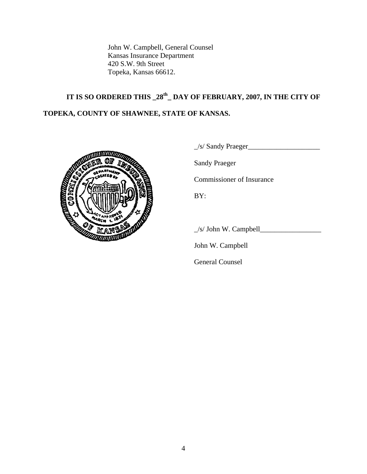John W. Campbell, General Counsel Kansas Insurance Department 420 S.W. 9th Street Topeka, Kansas 66612.

# **IT IS SO ORDERED THIS \_28th\_ DAY OF FEBRUARY, 2007, IN THE CITY OF TOPEKA, COUNTY OF SHAWNEE, STATE OF KANSAS.**



\_/s/ Sandy Praeger\_\_\_\_\_\_\_\_\_\_\_\_\_\_\_\_\_\_\_\_

Sandy Praeger

Commissioner of Insurance

\_/s/ John W. Campbell\_\_\_\_\_\_\_\_\_\_\_\_\_\_\_\_\_

John W. Campbell

General Counsel